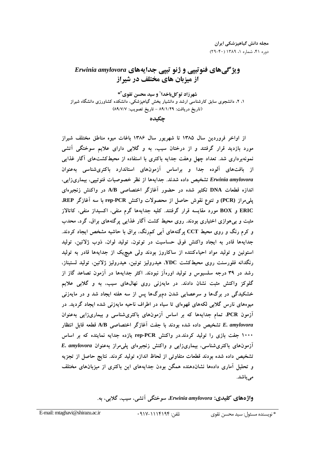# ویژگیهای فنوتییی و ژنو تییی جدایههای Erwinia amylovora از میزبان های مختلف در شیراز

شهرزاد توكلباخدا' و سيد محسن تقوى ًا \* ۱، ۲، دانشجوی سابق کارشناسی ارشد و دانشیار بخش گیاهیزشکی، دانشکده کشاورزی دانشگاه شیراز (تاريخ دريافت: ٨٩/١/٢٩ - تاريخ تصويب: ٨٩/٧/٧)

چکیده

از اواخر فروردین سال ۱۳۸۵ تا شهریور سال ۱۳۸۶ باغات میوه مناطق مختلف شیراز مورد بازدید قرار گرفتند و از درختان سیب، به و گلابی دارای علایم سوختگی آتشی نمونهبرداری شد. تعداد چهل وهفت جدایه باکتری با استفاده از محیطکشتهای آگار غذایی از بافتهای آلوده جدا و براساس آزمونهای استاندارد باکتریشناسی بهعنوان Erwinia amylovora تشخیص داده شدند. جدایهها از نظر خصوصیات فنوتیبی، بیماریزایی، اندازه قطعات DNA تکثیر شده در حضور آغازگر اختصاصی A/B در واکنش زنجیرهای پلمیمراز (PCR) و تنوع نقوش حاصل از محصولات واکنش rep-PCR با سه آغازگر REP، ERIC و BOX مورد مقایسه قرار گرفتند. کلیه جدایهها گرم منفی، اکسیداز منفی، کاتالاز مثبت و بی هوازی اختیاری بودند. روی محیط کشت آگار غذایی پرگنههای براق، گرد، محدب و کرم رنگ و روی محیط CCT پرگنههای آبی کم,رنگ، براق با حاشیه مشخص ایجاد کردند. جدايهها قادر به ايجاد واكنش فوق حساسيت در توتون، توليد لوان، ذوب ژلاتين، توليد استوئین و تولید مواد احیاءکننده از ساکاروز بودند ولی هیچریک از جدایهها قادر به تولید رنگدانه فلورسنت روی محیطکشت YDC، هیدرولیز توئین، هیدرولیز ژلاتین، تولید لستیناز، رشد در ۳۹ درجه سلسیوس و تولید اورهآز نبودند. اکثر جدایهها در آزمون تصاعد گاز از گلوکز واکنش مثبت نشان دادند. در مایهزنی روی نهالهای سیب، به و گلابی علایم خشکیدگی در برگها و سرعصایی شدن دمبرگها پس از سه هفته ایجاد شد و در مایهزنی میوههای نارس گلابی لکههای قهوهای تا سیاه در اطراف ناحیه مایهزنی شده ایجاد گردید. در آزمون PCR، تمام جدایهها که بر اساس آزمونهای باکتریشناسی و بیماریزایی بهعنوان E. amylovora تشخيص داده شده بودند با جفت آغازگر اختصاصی A/B قطعه قابل انتظار ۱۰۰۰ جفت بازی را تولید کردند.در واکنش rep-PCR یازده جدایه نماینده که بر اساس آزمونهای باکتریشناسی، بیماریزایی و واکنش زنجیرهای پلمیمراز بهعنوان E. amylovora تشخیص داده شده بودند قطعات متفاوتی از لحاظ اندازه تولید کردند. نتایج حاصل از تجزیه و تحلیل آماری دادهها نشاندهنده همگن بودن جدایههای این باکتری از میزبانهای مختلف می باشد.

واژههای کلیدی: Erwinia amylovora سوختگی آتشی، سیب، گلابی، به.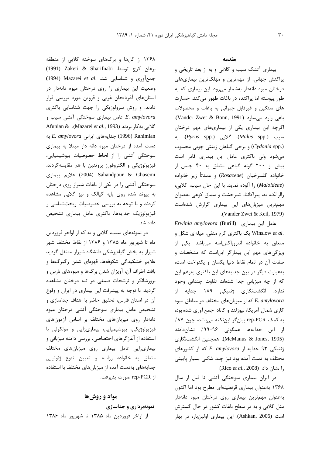۱۳۶۸ از گلها و برگهای سوخته گلابی از منطقه (1991) Zakeri & Sharifnabi برغان كرج توسط جمع آوری و شناسایی شد. .Mazarei et al (1994) وضعیت این بیماری را روی درختان میوه دانهدار در استانهای آذربایجان غربی و قزوین مورد بررسی قرار دادند. و روش سرولوژیکی را جهت شناسایی باکتری E. amylovora عامل بیماری سوختگی آتشی سیب و Afunian & .(Mazarei et al., 1993). Afunian & به E. amylovora به E. amylovora به E. دست آمده از درختان میوه دانه دار مبتلا به بیماری سوختگی آتشی را از لحاظ خصوصیات بیوشیمیایی، فیزیولوژیکی و الکتروفورز پروتئین با هم مقایسهکردند. اللايم بيماري) Sahandpour & Ghasemi سوختگی آتشی را در یکی از باغات شیراز روی درختان به پیوند شده روی پایه کیالک و نیز گلابی مشاهده کردند و با توجه به بررسی خصوصیات ریختشناسی و فیزیولوژیک جدایهها، باکتری عامل بیماری تشخیص داده شد.

در نمونههای سیب، گلابی و به که از اواخر فروردین ماه تا شهریور ماه ۱۳۸۵ و ۱۳۸۶ از نقاط مختلف شهر شیراز به بخش گیاهپزشکی دانشگاه شیراز منتقل گردید علایم خشکیدگی شکوفهها، قهوهای شدن رگبرگها و بافت اطراف آن، آویزان شدن برگها و میوههای نارس و بروزشانکر و ترشحات صمغی در تنه درختان مشاهده گردید. با توجه به پیشرفت این بیماری در ایران و وقوع آن در استان فارس، تحقیق حاضر با اهداف جداسازی و تشخیص عامل بیماری سوختگی آتشی درختان میوه دانهدار روی میزبانهای مختلف بر اساس آزمونهای فیزیولوژیکی، بیوشیمیایی، بیماریزایی و مولکولی با استفاده از آغازگرهای اختصاصی، بررسی دامنه میزبانی و بیماریزایی عامل بیماری روی میزبانهای مختلف متعلق به خانواده رزاسه و تعیین تنوع ژنوتیپی جدایههای بهدست آمده از میزبانهای مختلف با استفاده از rep-PCR صورت يذيرفت.

#### مواد و روشها

نمونهبرداری و جداسازی از اواخر فروردین ماه ۱۳۸۵ تا شهریور ماه ۱۳۸۶

#### مقدمه

بیماری آتشک سیب و گلابی و به از بعد تاریخی و پراکنش جهانی، از مهمترین و مهلکترین بیماریهای درختان میوه دانهدار بهشمار میرود. این بیماری که به طور پیوسته اما پراکنده در باغات ظهور می کند، خسارت های سنگین و غیرقابل جبرانی به باغات و محصولات باغی وارد میسازد (Vander Zwet & Bonn, 1991). اگرچه این بیماری یکی از بیماریهای مهم درختان سیب (Malus spp.)، گلابی (Pyrus spp.)، به (Cydonia spp.) وبرخى كياهان زينتى چوبى محسوب میشود ولی باکتری عامل این بیماری قادر است بيش از ٢٠٠ گونه گياهي متعلق به ۴٠ جنس از خانواده گلسرخیان (Rosaceae) و عمدتاً زیر خانواده (Maloideae) را آلوده نماید. با این حال سیب، گلابی، زالزالک، به، پیراکانتا، شیرخشت و سماق کوهی بهعنوان مهمترین میزبانهای این بیماری گزارش شدهاست .(Vander Zwet & Keil, 1979)

Erwinia amylovora (Burill) عامل این بیماری .Winslow et al یک باکتری گرم منفی، میلهای شکل و متعلق به خانواده انتروباكترياسه مىباشد. يكى از ویزگیهای مهم این بیمارگر این است که مشخصات و صفات آن در تمام نقاط دنیا یکسان و یکنواخت است، بهعبارت دیگر در بین جدایههای این باکتری بهرغم این كه از چه ميزبانى جدا شدهاند تفاوت چندانى وجود ندارد. انگشتنگاری ژنتیکی ۱۸۹ جدایه از که از میزبانهای مختلف در مناطق میوه E. amylovora کاری شمال آمریکا، نیوزلند و کانادا جمع آوری شده بود، به کمک rep-PCR بیان گر ایننکته می باشد، چون ۸۷٪ از این جدایهها همگونی ۹۶–۹۹٪ نشاندادند (McManus & Jones, 1995). همچنین انگشتنگاری ژنتیکی ۹۳ جدایه از E. amylovora که از کشورهای مختلف به دست آمده بود نیز چند شکلی بسیار پایینی .(انشان داد (Rico et al., 2008).

در ایران بیماری سوختگی آتشی تا قبل از سال ۱۳۶۸ به عنوان بیماری قرنطینهای مطرح بود اما اکنون بهعنوان مهمترین بیماری روی درختان میوه دانهدار مثل گلابی و به در سطح باغات کشور در حال گسترش است (Ashkan, 2006). این بیماری اولینبار، در بهار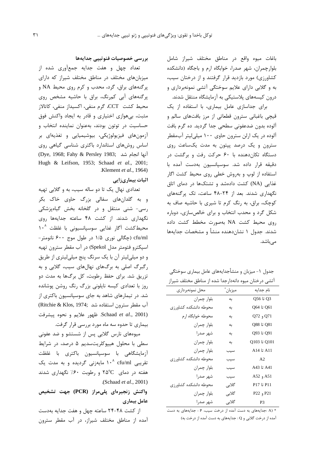باغات میوه واقع در مناطق مختلف شیراز شامل بلوارچمران، شهر صدرا، خوابگاه ارم و باجگاه (دانشکده کشاورزی) مورد بازدید قرار گرفتند و از درختان سیب، به و گلابی دارای علایم سوختگی آتشی نمونهبرداری و درون کیسههای پلاستیکی به آزمایشگاه منتقل شدند.

برای جداسازی عامل بیماری، با استفاده از یک قیچی باغبانی سترون قطعاتی از مرز بافتهای سالم و آلوده بدون ضدعفوني سطحي جدا گرديد. ده گرم بافت آلوده در یک ارلن سترون حاوی ۱۰۰ میلی لیتر آبمقطر سترون و یک درصد پپتون به مدت یکساعت روی دستگاه تکان دهنده با ۶۰ حرکت رفت و برگشت در دقيقه قرار داده شد. سوسپانسيون بهدست آمده با استفاده از لوپ و بهروش خطی روی محیط کشت اگار غذایی (NA) کشت دادهشد و تشتکها در دمای اتاق نگهداری شدند. بعد از ۲۴-۴۸ ساعت، تک پرگنههای کوچک، براق، به رنگ کرم تا شیری با حاشیه صاف به شکل گرد و محدب انتخاب و برای خالصسازی، دوباره <sub>رو</sub>ی محیط کشت NA بهصورت مخطط کشت داده شدند. جدول ۱ نشانِ دهنده منشأ و مشخصات جدایهها مے باشد.

جدول ١- ميزبان و منشأجدايههاي عامل بيماري سوختگي آتشی درختان میوه دانهدارجدا شده از مناطق مختلف شیراز

| محل نمونهبرداري       | ميزبان ً | نام جدایه      |
|-----------------------|----------|----------------|
| بلوار چمران           | به       | Q56 U Q3       |
| محوطه دانشكده كشاورزى | به       | Q64 تا Q64     |
| محوطه خوابگاه ارم     | به       | Q72 و Q72      |
| بلوار چمران           | به       | Q88 تا Q88     |
| شهر صدرا              | به       | Q93 تا Q93     |
| بلوار چمران           | به       | Q103 تا Q103   |
| بلوار چمران           | سيب      | A11 تا A14     |
| محوطه دانشكده كشاورزى | سيب      | A2             |
| بلوار چمران           | سيب      | A43 تا A43     |
| شهر صدرا              | سيب      | A51 و A52      |
| محوطه دانشكده كشاورزى | گلابی    | P11 تا P17     |
| بلوار چمران           | گلابے    | P21 و P22      |
| شهر صدرا              | گلابے    | P <sub>3</sub> |

\* (A :جدایههای به دست آمده از درخت سیب، P : جدایههای به دست آمده از درخت گلابی و Q : جدایههای به دست آمده از درخت به)

#### بررسي خصوصيات فنوتيپي جدايهها

تعداد چهل و هفت جدایه جمعآوری شده از میزبانهای مختلف در مناطق مختلف شیراز که دارای پر گنههای براق، گرد، محدب و کرم روی محیط NA و پر گنههای آبی کمرنگ، براق با حاشیه مشخص روی محيط كشت CCT، گرم منفي، اكسيداز منفي، كاتالاز مثبت، بی هوازی اختیاری و قادر به ایجاد واکنش فوق حساسیت در توتون بودند، بهعنوان نماینده انتخاب و آزمونهای فیزیولوژیکی، بیوشیمیایی و تغذیهای بر اساس روشهای استاندارد باکتری شناسی گیاهی روی (Dye, 1968; Fahy & Persley 1983; أنها انجام شد Hugh & Leifson, 1953; Schaad et al., 2001; .Klement  $et al., 1964$ )

#### اثبات بیماریزایی

تعدادي نهال يک تا دو ساله سيب، به و گلابي تهيه و به گلدانهای سفالی بزرگ حاوی خاک بکر رسی- شنی منتقل و در گلخانه بخش گیاهپزشکی نگهداری شدند. از کشت ۴۸ ساعته جدایهها روی محیط کشت آگار غذایی سوسیانسیونی با غلظت ۱۰<sup>۸</sup> cfu/ml (چگالی نوری ۱/۵ در طول موج ۶۰۰ نانومتر-اسيكترو فتومتر مدل Spekol) در آب مقطر سترون تهيه و دو میلیلیتر آن با یک سرنگ پنج میلیلیتری از طریق رگېرگ اصلي به برگهای نهالهای سيب، گلابي و به تزریق شد. برای حفظ رطوبت، کل برگها به مدت دو روز با تعدادی کیسه ناپلونی بزرگ رنگ روشن پوشانده شد. در تیمارهای شاهد به جای سوسیانسیون باکتری از آب مقطر سترون استفاده شد :Ritchie & Klos, 1974) خلهور علايم و نحوه پيشرفت Schaad et al., 2001) بیماری تا حدوه سه ماه مورد بررسی قرار گرفت.

میوههای نارس گلابی پس از شستشو و ضد عفونی سطی با محلول هیپوکلریتسدیم ۵ درصد، در شرایط آزمایشگاهی با سوسیانسیون باکتری با غلظت تقریبی cfu/ml ۱۰<sup>۸</sup> مایهزنی گردیده و به مدت یک هفته در دمای ۲۵°۲ و رطوبت ۶۰٪ نگهداری شدند .(Schaad et al., 2001)

## واكنش زنجيرهاي پليمراز (PCR) جهت تشخيص عامل بیماری

از کشت ۴۸-۲۴ ساعته چهل و هفت جدایه بهدست آمده از مناطق مختلف شیراز، در آب مقطر سترون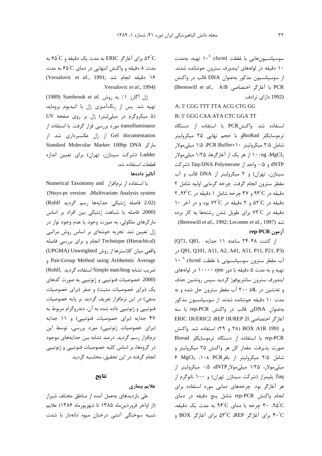سوسیانسیونهایی با غلظت cfu/ml ۱۰<sup>۸</sup> تهیه، بهمدت ۱۰ دقیقه در لولههای اپندورف سترون جوشانده شدند. از سوسیانسیون مذکور بهعنوان DNA قالب در واکنش (Bereswill et al., A/B با آغازكر اختصاصی (Bereswill et al., A/B (1992 دارای ترادف:

#### A: 5' CGG TTT TTA ACG CTG GG

#### B: 5' GGG CAA ATA CTC GGA TT

استفاده شد. واكنشPCR با استفاده از دستگاه ترموسایکلر BioRadو با حجم نهایی ۲۵ میکرولیتر شامل ۲/۵ میکرولیتر ۲/۵ PCR Buffer×۱۰ میلی مولار ۱۰۰ng ،MgCl2 از هر یک از آغازگرها، ۱/۲۵ میلی،مولار dNTP و ۰/۵ واحد از *Taq-*DNA Polymerase (شركت سیناژن، تهران) و ٢ میکرولیتر از DNA قالب و آب مقطر سترون انجام گرفت. چرخه گرمایی اولیه شامل ۲ دقیقه در ۹۳°C و ۳۷ چرخه شامل ۱ دقیقه در ۹۳°C، ۲ 10 دقیقه در ۵۲°C و ۲ دقیقه در ۷۲°C بود و در آخر دقیقه در ۷۲°C برای طویل شدن رشتهها به کار برده شد (Bereswill et al., 1992; Lecomte et al., 1997). rep-PCR أزمون

از کشت ۴۸-۲۴ ساعته ۱۱ جدایه .(Q71, Q81 د, Q91, Q101, A11, A2, A41, A51, P11, P21, P3) آب مقطر سترون سوسپانسیونی با غلظت cfu/ml ^ ^ c تهيه و به مدت ۵ دقيقه با دور ۱۰۰۰۰ rpm در لولههاي اپندورف سترون سانتريوفوژ گرديد سپس رونشين حذف و تهنشین در X۰۰ µL آب مقطر سترون حل شده و به مدت ۱۰ دقیقه جوشانده شدند. از سوسیانسیون مذکور به عنوان DNAى قالب در واكنش rep-PCR با سه FRIC 1R/ERIC2 ،REP 1R/REP 2I و BOX A1R 1991 (٢٩ و ٢٩) استفاده شد. واكنش rep-PCR با استفاده از دستگاه ترموسایکلر Biorad صورت پذیرفت. مقدار کل هر واکنش ۲۵ میکرولیتر و شامل ۲/۵ میکرولیتر از بافر ۱۰x PCR ۶ MgCl<sub>2</sub> میلی مولار، ۱/۲۵ میلی مولار dNTP، ۱/۵ میکرولیتر از Taq پلیمراز (شرکت سیناژن تهران) و ۱۰۰ نانوگرم از هر آغازگر بود. چرخههای دمایی مورد استفاده برای انجام واكنش rep-PCR شامل ينج دقيقه در دماي ۹۵°، ۳۰ چرخه با دمای ۹۴°C به مدت یک دقیقه، ۴۰°C برای آغازگر ۵۳°C ،REP برای آغازگر BOX و

به مدت یک دقیقه و  $\rm{e}$ ۵۲ (کر $\rm{c}$  ERIC به مدت یک دقیقه و  $\rm{e}$ ۶۵ به  $\rm{e}$ مدت ۸ دقیقه و واکنش انتهایی در دمای ۴۵ ٌ۶ به مدت ١۶ دقيقه انجام شد :(Versalovic et al., 1991) Versalovic et al., 1994).

زل آگارز ١٪ به روش Sambrook et al. تهیه شد. پس از رنگآمیزی ژل با اتیدیوم بروماید (۵ میکروگرم در میلی لیتر) ژل بر روی صفحه UV transilluminator مورد بررسی قرار گرفت. با استفاده از Gel documentation از ژل عکسبرداری شد. از ماركر Standard Molecular Marker 100bp DNA Ladder (شرکت سیناژن، تهران) برای تعیین اندازه قطعات استفاده شد. آناليز دادهها

با استفاده از نرمافزار Numerical Taxonomy and (Ntsys-pc version Multivariate Analysis system (2.02 فاصله ژنتیکی جدایهها رسم گردید Rohlf) (2000. فاصله يا شباهت ژنتيكى بين افراد بر اساس مارکرهای ملکولی، به صورت وجود یا عدم وجود نوار در ژل تعیین شد. تجزیه خوشهای بر اساس روش مراتبی Technique (Hierachical) انجام وبرای بررسی فاصله واقعی میان کلاسترها از روش UPGMA) Unweighted) pair-Group Method using Arithemtic Average ضريب تشابه Simple matching استفاده گرديد .(Rohlf (2000. خصوصیات فنوتیپی و ژنوتیپی به صورت کدهای یک (برای خصوصیات مثبت) و صفر (برای خصوصیات منفی) در این نرمافزار تعریف گردید. بر پایه خصوصیات فنوتیپی و ژنوتیپی داده شده به آن، دندروگرام مربوط به ۴۷ جدایه (برای خصوصیات فنوتیپی) و ۱۱ جدایه (برای خصوصیات ژنوتیپی) مورد بررسی، توسط این نرمافزار رسم گردید. درصد تشابه بین جدایههای موجود در گروهها، بر اساس کلیه خصوصیات فنوتیپی و ژنوتیپی انجام گرفته در این تحقیق، محاسبه گردید.

#### نتايج

#### علايم بيماري

طی بازدیدهای بهعمل آمده از مناطق مختلف شیراز (از اواخر فروردین ماه ۱۳۸۵ تا شهریورماه ۱۳۸۶) علایم شبیه سوختگی آتشی درختان میوه دانهدار با شدت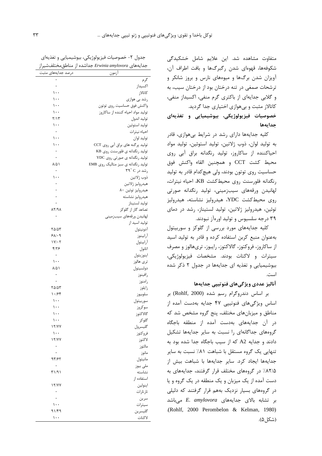متفاوت مشاهده شد. این علایم شامل خشکیدگ*ی* شکوفهها، قهوهای شدن رگبرگها و بافت اطراف آن، آویزان شدن برگها و میوههای نارس و بروز شانکر و ترشحات صمغی در تنه درختان بود از درختان سیب، به و گلابی جدایهای از باکتری گرم منفی، اکسیداز منفی، کاتالاز مثبت و بیهوازی اختیاری جدا گردید. .<br>خصوصيات فيزيولوژيکي، بيوشيميايي و تغذيهاي جدايهها

کلیه جدایهها دارای رشد در شرایط بی هوازی، قادر به تولید لوان، ذوب ژلاتین، تولید استوئین، تولید مواد احیاکننده از ساکاروز، تولید رنگدانه براق آبی روی محيط كشت CCT و همچنين القاء واكنش فوق حساسیت روی توتون بودند، ولی هیچکدام قادر به تولید رنگدانه فلورسنت روی محیطکشت KB، احیاء نیترات، لهانیدن ورقههای سیبزمینی، تولید رنگدانه صورتی روی محیط کشت YDC، هیدرولیز نشاسته، هیدرولیز توئین، هیدرولیز ژلاتین، تولید لستیناز، رشد در دمای ۳۹ درجه سلسیوس و تولید اورهآز نبودند.

کلیه جدایههای مورد بررسی از گلوکز و سوربیتول بهعنوان منبع کربن استفاده کرده و قادر به تولید اسید از ساکاروز، فروکتوز، گالاکتوز، رایبوز، تریهالوز و مصرف سيترات و لاكتات بودند. مشخصات فيزيولوژيكي، بیوشیمیایی و تغذیه ای جدایهها در جدول ۲ ذکر شده است.

### آناليز عددي ويژگىهاى فنوتييي جدايهها

بر اساس دندروگرام رسم شده (Rohlf, 2000) بر اساس ویژگیهای فنوتییی ۴۷ جدایه بهدست آمده از مناطق و میزبانهای مختلف، پنج گروه مشخص شد که در آن جدایههای بهدست آمده از منطقه باجگاه گروههای جداگانهای را نسبت به سایر جدایهها تشکیل دادند و جدایه A2 که از سیب باجگاه جدا شده بود به تنهایی یک گروه مستقل با شباهت ۸۱٪ نسبت به سایر جدایهها ایجاد کرد. سایر جدایهها با شباهت بیش از ۸۲/۵٪ در گروههای مختلف قرار گرفتند، جدایههای به دست آمده از یک میزبان و یک منطقه در یک گروه و یا در گروههای بسیار نزدیک بههم قرار گرفتند که دلیلی بر تشابه بالای جدایههای *E. amylovora* مے باشد (Rohlf, 2000 Perombelon & Kelman, 1980) (شكل ۵).

| جدول ۲- خصوصیات فیزیولوژیکی، بیوشیمیایی و تغذیهای      |
|--------------------------------------------------------|
| جدایههای Erwinia amylovora جداشده از مناطق مختلف شیراز |

| بنداسده ار مناطق محتنفسیران<br>درصد جدايههاى مثبت | جدایههای <i>Erwiniu umylovoru</i> م<br>أزمون |
|---------------------------------------------------|----------------------------------------------|
|                                                   | گرم                                          |
| $\bullet$                                         | اكسيداز                                      |
| ۱۰۰                                               | كاتالاز                                      |
| $\cdots$                                          | رشد بی هوازی                                 |
| $\cdots$                                          | واكنش فوق حساسيت روى توتون                   |
| $\cdots$                                          | تولید مواد احیاء کننده از ساکاروز            |
| ۲/۱۳                                              | توليد اندول                                  |
| $\cdots$                                          | توليد استوئين                                |
| $\bullet$                                         | احياء نيترات                                 |
| $\cdots$                                          | توليد لوان                                   |
| $\cdots$                                          | تولید پرگنه های براق آبی روی CCT             |
| $\bullet$                                         | تولید رنگدانه ی فلورسنت روی KB               |
| $\bullet$                                         | تولید رنگدانه ی صورتی روی YDC                |
| ۸۵۱                                               | تولید رنگدانه ی سبز متالیک روی EMB           |
| $\bullet$                                         | رشد در ۳۹° ۲۹                                |
| $\cdots$                                          | ذوب ژلاتين                                   |
|                                                   | هيدروليز ژلاتين                              |
|                                                   | هيدروليز توئين ٨٠                            |
|                                                   | هيدروليز نشاسته<br>توليد لستيناز             |
| $\lambda Y$ /۹ $\lambda$                          | تصاعد گاز از گلوکز                           |
|                                                   | لهانيدن ورقههاي سيبزميني                     |
|                                                   | تولید اسید از                                |
| ۲۵/۵۳                                             | آدونيتول                                     |
| 91.9                                              | أرابينوز                                     |
| $1Y/\cdot Y$                                      | أرابيتول                                     |
| $f/\gamma$ ۶                                      | اتانول                                       |
| $\ddot{\phantom{0}}$                              | اينوزيتول                                    |
| ۱۰۰                                               | ترى ھالوز                                    |
| $\lambda/\Delta$                                  | دولسيتول                                     |
| ۰                                                 | رافينوز                                      |
| ۰                                                 | رامنوز                                       |
| ۳۵/۵۳                                             | زايلوز                                       |
| $\cdot$ /۶۴                                       | سلوبيوز                                      |
| $\mathcal{L}$ .                                   | سوربيتول                                     |
| $\cdots$<br>۱۰۰                                   | سوكروز<br>گالاكتوز                           |
| ۱۰۰                                               | گلوکز                                        |
| 17/YY                                             | گليسرول                                      |
| ۱۰۰                                               | فروكتوز                                      |
| 17/YY                                             | لاكتوز                                       |
|                                                   | مالتوز                                       |
|                                                   | مانوز                                        |
| 95/95                                             | مانيتول                                      |
|                                                   | ملى بيوز                                     |
| ۳۱/۹۱                                             | نشاسته                                       |
|                                                   | استفاده از                                   |
| 17/YY                                             | اينولين                                      |
|                                                   | تارتارات                                     |
|                                                   | سرين                                         |
| ۱۰۰                                               | سيترات                                       |
| 91/۴9                                             | گليسرين                                      |
| $\mathcal{L}$                                     | لاكتات                                       |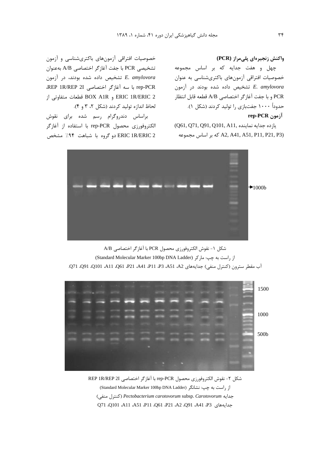#### واكنش زنجيرهاي پليمراز (PCR)

چهل و هفت جدایه که بر اساس مجموعه خصوصیات افتراقی آزمونهای باکتریشناسی به عنوان تشخیص داده شده بودند در آزمون E. amylovora PCR و با جفت آغاز گر اختصاصی A/B قطعه قابل انتظار حدوداً ۱۰۰۰ جفتبازی را تولید کردند (شکل ۱). rep-PCR<sub>(مون</sub>

يازده جدايه نماينده .Q61, Q71, Q91, Q101, A11) A2, A41, A51, P11, P21, P3) كه بر اساس مجموعه

خصوصیات افتراقی آزمونهای باکتریشناسی و آزمون تشخيصي PCR با جفت آغازگر اختصاصي A/B بهعنوان تشخیص داده شده بودند، در آزمون E. amylovora rep-PCR با سه آغازگر اختصاصی REP 1R/REP 2I. ERIC 1R/ERIC 2 و BOX A1R قطعات متفاوتي از لحاظ اندازه توليد كردند (شكل ٢، ٣ و ۴).

براساس دندروگرام رسم شده برای نقوش الكتروفورزي محصول rep-PCR با استفاده از آغازگر ERIC 1R/ERIC 2 دو گروه با شباهت ۹۴٪ مشخص



شكل ١- نقوش الكتروفورزي محصول PCR با آغازگر اختصاصي A/B از راست به چی: مارکر (Standard Molecular Marker 100bp DNA Ladder) آب مقطر سترون (كنترل منفي) جدايههاي A51 ،A51 ،A91 ،P21 ،A41 ،P21 ،A91 ،Q91 ،Q91 ،Q91 .Q71



شكل ٢- نقوش الكتروفورزي محصول rep-PCR با آغاز گر اختصاصي REP 1R/REP 2I از راست به چپ: نشانگر (Standard Molecular Marker 100bp DNA Ladder) جدايه Pectobacterium carotovorum subsp. Carotovorum (كنترل منفى) جدايههاي 93، A41، Q91، A21، Q91، A41، P11، Q101، A11، A51، P11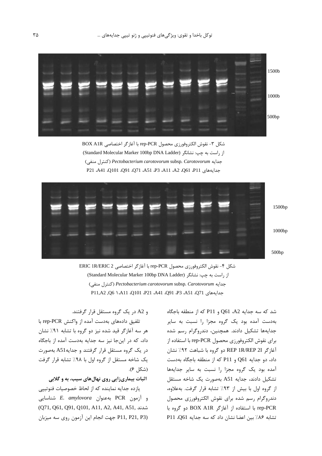

شكل ٣- نقوش الكتروفورزي محصول rep-PCR با آغازگر اختصاصي BOX A1R از راست به چپ: نشانگر (Standard Molecular Marker 100bp DNA Ladder) جدايه Pectobacterium carotovorum subsp. Carotovorum (كنترل منفى) حدايةهاي P21 ،A41 ،Q101 ،Q91 ،A51 ،P3 ،A11 ،A2 ،Q61 ،P11



شكل ۴- نقوش الكتروفورزي محصول rep-PCR با آغازكر اختصاصي ERIC 1R/ERIC 2 از راست به چپ: نشانگر (Standard Molecular Marker 100bp DNA Ladder) (كنترل منفى) Pectobacterium carotovorum subsp. Carotovorum (كنترل منفى) P11,A2,Q6 \.A11 .Q101 .P21 .A41 .Q91 .P3 .A51 .Q71 .P11,A2

و A2 در یک گروه مستقل قرار گرفتند.

تلفيق دادههاى بهدست آمده از واكنش rep-PCR با هر سه آغازگر قید شده نیز دو گروه با تشابه ۹۱٪ نشان داد، که در اینجا نیز سه جدایه بهدست آمده از باجگاه در یک گروه مستقل قرار گرفتند و جدایهA51 بهصورت یک شاخه مستقل از گروه اول با ۹۸٪ تشابه قرار گرفت (شكل ۶).

#### اثبات بیماریزایی روی نهالهای سیب، به و گلابی

یازده جدایه نماینده که از لحاظ خصوصیات فنوتییی و آزمون PCR بهعنوان E. amylovora شناسايي شدند ,Q71, Q61, Q91, Q101, A11, A2, A41, A51 P11, P21, P3) جهت انجام این آزمون روی سه میزبان شد که سه جدایه A2، Q61 و P11 که از منطقه باجگاه بهدست آمده بود یک گروه مجزا را نسبت به سایر جدايهها تشكيل دادند. همچنين، دندروگرام رسم شده براي نقوش الكتروفورزي محصول rep-PCR با استفاده از آغازگر REP 1R/REP 2I دو گروه با شباهت ۹۲/ نشان داد، دو جدایه Q61 و P11 که از منطقه باجگاه بهدست آمده بود یک گروه مجزا را نسبت به سایر جدایهها تشكيل دادند، جدايه A51 بهصورت يك شاخه مستقل از گروه اول با بیش از ۹۳٪ تشابه قرار گرفت. بهعلاوه، دندروگرام رسم شده برای نقوش الکتروفورزی محصول rep-PCR با استفاده از آغازگر BOX A1R دو گروه با تشابه ٨۶٪ بين اعضا نشان داد كه سه جدايه Q61، P11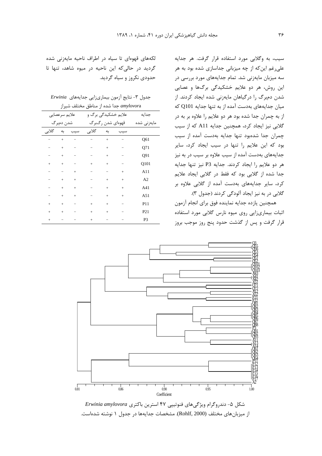سیب، به وگلابی مورد استفاده قرار گرفت. هر جدایه علی رغم این که از چه میزبانی جداسازی شده بود به هر سه میزبان مایهزنی شد. تمام جدایههای مورد بررسی در این روش، هر دو علایم خشکیدگی برگها و عصایی شدن دمبرگ را درگیاهان مایهزنی شده ایجاد کردند. از میان جدایههای بهدست آمده از به تنها جدایه Q101 که از به چمران جدا شده بود هر دو علایم را علاوه بر به در گلابی نیز ایجاد کرد، همچنین جدایه A11 که از سیب چمران جدا شدهبود تنها جدایه بهدست آمده از سیب بود که این علایم را تنها در سیب ایجاد کرد، سایر جدایههای بهدست آمده از سیب علاوه بر سیب در به نیز هر دو علايم را ايجاد كردند. جدايه P3 نيز تنها جدايه جدا شده از گلابی بود که فقط در گلابی ایجاد علایم کرد، سایر جدایههای بهدست آمده از گلابی علاوه بر گلابی در به نیز ایجاد آلودگی کردند (جدول ۳).

همچنین یازده جدایه نماینده فوق برای انجام آزمون اثبات بیماریزایی روی میوه نارس گلابی مورد استفاده قرار گرفت و پس از گذشت حدود پنج روز موجب بروز

لکههای قهوهای تا سیاه در اطراف ناحیه مایهزنی شده گردید در حالی که این ناحیه در میوه شاهد، تنها تا حدودی نکروز و سیاه گردید.

جدول ٣- نتايج آزمون بيمارىزايي جدايههاي Erwinia amylovora حدا شده از مناطق مختلف شیراز

|           | علايم سرعصايي<br>شدن دمبرگ |           | علایم خشکیدگی برگ و |           | جدايه           |
|-----------|----------------------------|-----------|---------------------|-----------|-----------------|
|           |                            |           |                     |           |                 |
|           |                            |           | قهوهای شدن رگبرگ    |           | مايەزنى شدە     |
| گلابى     | به<br>سيب                  | گلابى     | به                  | سيب       |                 |
|           | $\ddot{}$                  |           | $^{+}$              |           | Q61             |
|           | $\ddot{}$                  |           | $^{+}$              |           | Q71             |
|           | $^{+}$                     |           | $^{+}$              |           | Q91             |
| $\ddot{}$ | $\ddot{}$                  | $\ddot{}$ | $^{+}$              |           | Q101            |
|           | $\ddot{}$                  |           |                     | $\ddot{}$ | A11             |
|           | $^{+}$<br>$\ddot{}$        |           | $\ddot{}$           | $^{+}$    | A2              |
|           | $^{+}$<br>$^{+}$           |           | $^{+}$              | $^{+}$    | A41             |
|           | $^{+}$<br>$^{+}$           |           | $^{+}$              | $^{+}$    | A51             |
| $\ddot{}$ | $\ddot{}$                  | $\ddot{}$ | $\ddot{}$           |           | P11             |
| $\ddot{}$ | $\ddot{}$                  | $\ddot{}$ | $\ddot{}$           |           | P <sub>21</sub> |
| $\ddot{}$ |                            | $\ddot{}$ |                     |           | P <sub>3</sub>  |



شکل ۵- دندروگرام ویژگیهای فنوتیپی ۴۷ استرین باکتری Erwinia amylovora از میزبانهای مختلف (Rohlf, 2000). مشخصات جدایهها در جدول ۱ نوشته شدهاست.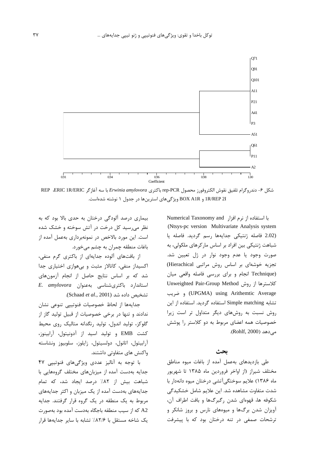

شكل ۶- دندروكرام تلفيق نقوش الكتروفورز محصول rep-PCR باكترى Erwinia amylovora با سه آغاز كر REP ،ERIC 1R/ERIC IR/REP 2I و BOX A1R ویژگیهای استرینها در جدول ۱ نوشته شدهاست.

با استفاده از نرم افزار Numerical Taxonomy and (Ntsys-pc version Multivariate Analysis system (2.02 فاصله ژنتيكي جدايهها رسم گرديد. فاصله يا شباهت ژنتیکی بین افراد بر اساس مارکرهای ملکولی، به صورت وجود يا عدم وجود نوار در ژل تعيين شد. تجزیه خوشهای بر اساس روش مراتبی Hierachical) (Technique انجام وبراى بررسى فاصله واقعى ميان Unweighted Pair-Group Method روش Unweighted Pair-Group Method (UPGMA) using Arithemtic Average) و ضريب تشابه Simple matching استفاده گردید. استفاده از این روش نسبت به روشهای دیگر متداول تر است زیرا خصوصیات همه اعضای مربوط به دو کلاستر را پوشش مے دھد (Rohlf, 2000).

## بحث

طی بازدیدهای بهعمل آمده از باغات میوه مناطق مختلف شیراز (از اواخر فروردین ماه ۱۳۸۵ تا شهریور ماه ۱۳۸۶) علایم سوختگیآتشی درختان میوه دانهدار با شدت متفاوت مشاهده شد. این علایم شامل خشکیدگی شکوفه ها، قهوهای شدن رگبرگها و بافت اطراف آن، آویزان شدن برگها و میوههای نارس و بروز شانکر و ترشحات صمغی در تنه درختان بود که با پیشرفت

بیماری درصد آلودگی درختان به حدی بالا بود که به نظر می رسید کل درخت در آتش سوخته و خشک شده است. این مورد بالاخص در نمونهبرداری بهعمل آمده از باغات منطقه چمران به چشم می خورد.

از بافتهای آلوده جدایهای از باکتری گرم منفی، اکسیداز منفی، کاتالاز مثبت و بیهوازی اختیاری جدا شد که بر اساس نتایج حاصل از انجام آزمونهای E. amylovora باكترى شناسى به عنوان E. amylovora تشخيص داده شد (Schaad et al., 2001).

جدايهها از لحاظ خصوصيات فنوتيپي تنوعي نشان ندادند و تنها در برخی خصوصیات از قبیل تولید گاز از گلوکز، تولید اندول، تولید رنگدانه متالیک روی محیط كشت EMB و توليد اسيد از آدونيتول، آرابينوز، آرابيتول، اتانول، دولسيتول، زايلوز، سلوبيوز ونشاسته واکنش های متفاوتی داشتند.

با توجه به آنالیز عددی ویژگیهای فنوتییی ۴۷ جدایه بهدست آمده از میزبانهای مختلف گروههایی با شباهت بیش از ۸۲٪ درصد ایجاد شد، که تمام جدایههای بهدست آمده از یک میزبان و اکثر جدایههای مربوط به یک منطقه در یک گروه قرار گرفتند. جدایه A2 كه از سيب منطقه باجگاه بهدست آمده بود بهصورت یک شاخه مستقل با ۸۲/۶/ تشابه با سایر جدایهها قرار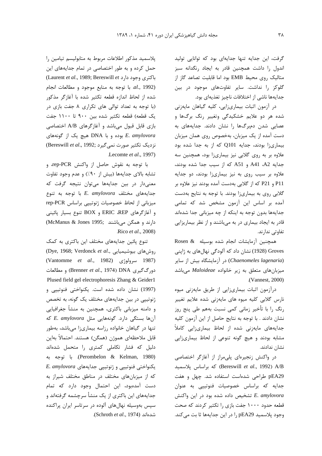گرفت، این جدایه تنها جدایهای بود که توانایی تولید اندول را داشت همچنین قادر به ایجاد رنگدانه سبز متالیک روی محیط EMB بود اما قابلیت تصاعد گاز از گلوکز را نداشت. سایر تفاوتهای موجود در بین جدایهها ناشی از اختلافات ناچیز تغذیهای بود.

در آزمون اثبات بیماریزایی، کلیه گیاهان مایهزنی شده هر دو علایم خشکیدگی وتغییر رنگ برگها و عصایی شدن دمبرگها را نشان دادند. جدایههای به دست آمده از یک میزبان، بهخصوص روی همان میزبان بیماری;ا بودند، جدایه Q101 که از به جدا شده بود علاوه بر به روی گلابی نیز بیماریزا بود، همچنین سه جدایه A41 ،A2 و A51 که از سیب جدا شده بودند، علاوه بر سیب روی به نیز بیماریزا بودند، دو جدایه P11 و P21 كه از گلابي بهدست آمده بودند نيز علاوه بر گلابی روی به بیماری;ا بودند. با توجه به نتایج بهدست آمده بر اساس این آزمون مشخص شد که تمامی جدایهها بدون توجه به اینکه از چه میزبانی جدا شدهاند قادر به ایجاد بیماری در به میباشند و از نظر بیماریزایی تفاوتی ندارند.

همچنین آزمایشات انجام شده بوسیله & Rosen Groves (1928) نشان داد که آلودگی نهالهای به ژاپنی (Chaenomeles lagenaria) در آزمایشگاه بیش از سایر میزبانهای متعلق به زیر خانواده Maloideae میباشد (Vannest, 2000).

درآزمون اثبات بیماریزایی از طریق مایهزنی میوه .<br>نارس گلابی کلیه میوه های مایهزنی شده علایم تغییر رنگ را با تأخیر زمانی کمی نسبت بههم طی پنج روز نشان دادند . با توجه به نتايج حاصل از اين آزمون كليه جدایههای مایهزنی شده از لحاظ بیماریزایی کاملاً مشابه بودند و هیچ گونه تنوعی از لحاظ بیماریزایی نشان ندادند.

در واکنش زنجیرهای پلهمراز از آغازگر اختصاصی Dereswill et al., 1992) A/B كه براساس پلاسميد pEA29 طراحی شدهاست استفاده شد. چهل و هفت جدایه که براساس خصوصیات فنوتیپی به عنوان E. amylovora تشخيص داده شده بود در اين واكنش قطعه حدود ۱۰۰۰ جفت بازی را تکثیر کردند که صحت وجود پلاسميد 1, pEA29 ا در اين جدايهها ثا بت مي كند.

يلاسميد مذكور اطلاعات مربوط به متابوليسم تيامين را حمل کرده و به طور اختصاصی در تمام جدایههای این (Laurent et al., 1989; Bereswill et دارد) يا توجه به منابع موجود و مطالعات انجام al., 1992) شده از لحاظ اندازه قطعه تكثير شده با آغازگر مذكور (با توجه به تعداد توالی های تکراری ۸ جفت بازی در یک قطعه) قطعه تکثیر شده بین ۹۰۰ تا ۱۱۰۰ جفت بازی قابل قبول میباشد و آغازگرهای A/B اختصاصی بوده و با DNA هيچ يک از گونههاى E. amylovora نزدیک تکثیر صورت نمی گیرد ;(Bereswill *et al.*, 1992) Lecomte et al., 1997).

با توجه به نقوش حاصل از واكنش rep-PCR، و تشابه بالای جدایهها (بیش از ۹۰٪) و عدم وجود تفاوت معنیدار در بین جدایهها میتوان نتیجه گرفت که  $E.$  amylovora جدایههای مختلف E. amylovora میزبانی از لحاظ خصوصیات ژنوتیپی براساس rep-PCR و آغازگرهای ERIC ،REP و BOX تنوع بسیار پائینی دارند و همگن میباشند :McManus & Jones 1995) Rico et al., 2008).

تنوع پائین جدایههای مختلف این باکتری به کمک (Dye, 1968; Verdonck et al., روشهای بیوشیمیایی (Vantomme et al., 1982) سرولوژی (Cantomme et al., 1987) دورگ گیری DNA) DNA) و مطالعات Plused field gel electrophoresis Zhang & Geider1 (1997) نشان داده شده است. یکنواختی فنوتیپی و ژنوتییی در بین جدایههای مختلف یک گونه، به تخصص و دامنه میزبانی باکتری، همچنین به منشأ جغرافیایی  $E.$  amylovora آنها بستگی دارد. گونههایی مثل تنها در گیاهان خانواده رزاسه بیماریزا میباشد، بهطور قابل ملاحظهای هموژن (همگن) هستند. احتمالاً بهاین دلیل که فشار تکاملی کمتری را متحمل شدهاند (Perombelon & Kelman, 1980). با توجه به E. amylovora د بكنواختى فنوتيپى و ژنوتيپى جدايههاى که از میزبانهای مختلف در مناطق مختلف شیراز به دست آمدهبود، این احتمال وجود دارد که تمام جدایههای این باکتری از یک منشأ سرچشمه گرفتهاند و سپس بهوسیله نهالهای آلوده در سرتاسر ایران پراکنده شدهاند (Schroth et al., 1974).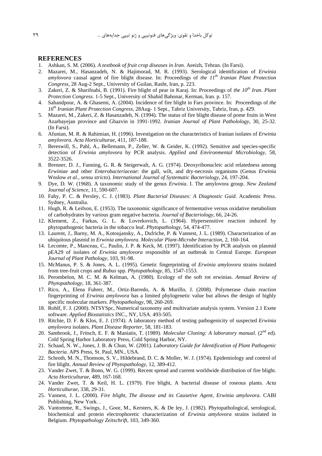#### **REFERENCES**

- 1. Ashkan, S. M. (2006). A textbook of fruit crop diseases in Iran. Aeeizh. Tehran. (In Farsi).
- 2. Mazarei, M., Hasanzadeh, N. & Hajimorad, M. R. (1993). Serological identification of Erwinia amylovora causal agent of fire blight disease. In: Proceedings of the  $11<sup>th</sup>$  Iranian Plant Protection Congress, 28 Aug-2 Sept., University of Guilan, Rasht, Iran, p. 223.
- 3. Zakeri, Z. & Sharifnabi, B. (1991). Fire blight of pear in Karaj. In: Proceedings of the 10<sup>th</sup> Iran. Plant Protection Congress. 1-5 Sept., University of Shahid Bahonar, Kerman, Iran. p. 157.
- 4. Sahandpour, A. & Ghasemi, A. (2004). Incidence of fire blight in Fars province. In: Proceedings of the 16<sup>th</sup> Iranian Plant Protection Congress, 28Aug- 1 Sept., Tabriz University, Tabriz, Iran, p. 429.
- 5. Mazarei, M., Zakeri, Z. & Hasanzadeh, N. (1994). The status of fire blight disease of pome fruits in West Azarbayejan province and Ghazvin in 1991-1992. Iranian Journal of Plant Patholology, 30, 25-32. (In Farsi).
- 6. Afunian, M. R. & Rahimian, H. (1996). Investigation on the characteristics of Iranian isolates of *Erwinia* amylovora, Acta Horticulturae, 411, 187-188.
- 7. Bereswill, S., Pahl, A., Bellemann, P., Zeller, W. & Geider, K. (1992). Sensitive and species-specific detection of Erwinia amylovora by PCR analysis. Applied and Environmental Microbiology, 58, 3522-3526.
- 8. Brenner, D. J., Fanning, G. R. & Steigerwalt, A. G. (1974). Deoxyribonucleic acid relatedness among Erwiniae and other Enterobacteriaceae: the gall, wilt, and dry-necrosis organisms (Genus Erwinia Winslow et al., sensu stricto). International Journal of Systematic Bacteriology, 24, 197-204.
- 9. Dye, D. W. (1968). A taxonomic study of the genus *Erwinia*. I. The amylovora group. New Zealand Journal of Science, 11, 590-607.
- 10. Fahy, P. C. & Persley, C. J. (1983). Plant Bacterial Diseases: A Diagnostic Guid. Academic Press. Sydney, Australia.
- 11. Hugh, R. & Leifson, E. (1953). The taxonomic significance of fermentative versus oxidative metabolism of carbohydrates by various gram negative bacteria. Journal of Bacteriology, 66, 24-26.
- 12. Klement, Z., Farkas, G. L. & Lovrekovich, L. (1964). Hypersensitive reaction induced by phytopathogenic bacteria in the tobacco leaf. Phytopathology, 54, 474-477.
- 13. Laurent, J., Barny, M. A., Kotoujansky, A., Dufriche, P. & Vannest, J. L. (1989). Characterization of an ubiquitous plasmid in Erwinia amylovora. Molecular Plant-Microbe Interaction, 2, 160-164.
- 14. Lecomte, P., Manceau, C., Paulin, J. P. & Keck, M. (1997). Identification by PCR analysis on plasmid pEA29 of isolates of *Erwinia amylovora* responsible of an outbreak in Central Europe. *European* Journal of Plant Pathology, 103, 91-98.
- 15. McManus, P. S. & Jones, A. L. (1995). Genetic fingerprinting of *Erwinia amylovora* strains isolated from tree-fruit crops and Rubus spp. Phytopathology, 85, 1547-1553.
- 16. Perombelon, M. C. M. & Kelman, A. (1980). Ecology of the soft rot erwinias. Annual Review of Phytopathology, 18, 361-387.
- 17. Rico, A., Elena Fuhrer, M., Ortiz-Barredo, A. & Murillo, J. (2008). Polymerase chain reaction fingerprinting of *Erwinia amylovora* has a limited phylogenetic value but allows the design of highly specific molecular markers. Phytopathology, 98, 260-269.
- 18. Rohlf, F. J. (2000). NTSYSpc, Numerical taxonomy and multivariate analysis system. Version 2.1 Exete software. Applied Biostatistics INC., NY, USA. 493-505.
- 19. Ritchie, D. F. & Klos, E. J. (1974). A laboratory method of testing pathogenicity of suspected *Erwinia* amylovora isolates. Plant Disease Reporter, 58, 181-183.
- 20. Sambrook, J., Fritsch, E. F. & Maniatis, T. (1989). Molecular Cloning: A laboratory manual. (2<sup>nd</sup> ed). Cold Spring Harbor Laboratory Press, Cold Spring Harbor, NY.
- 21. Schaad, N. W., Jones, J. B. & Chun, W. (2001). Laboratory Guide for Identification of Plant Pathogenic Bacteria. APS Press, St. Paul, MN., USA.
- 22. Schroth, M. N., Thomson, S. V., Hildebrand, D. C. & Moller, W. J. (1974). Epidemiology and control of fire blight. Annual Review of Phytopathology, 12, 389-412.
- 23. Vander Zwet, T. & Bonn, W. G. (1999). Recent spread and current worldwide distribution of fire blight. Acta Horticulturae, 489, 167-168.
- 24. Vander Zwet, T. & Keil, H. L. (1979). Fire blight. A bacterial disease of roseous plants. Acta Horticulturae, 338, 29-31.
- 25. Vannest, J. L. (2000). Fire blight, The disease and its Causetive Agent, Erwinia amylovora. CABI Publishing, New York...
- 26. Vantomme, R., Swings, J., Goor, M., Kersters, K. & De ley, J. (1982). Phytopathological, serological, biochemical and protein electrophoretic characterization of Erwinia amylovora strains isolated in Belgium. Phytopathology Zeitschrift, 103, 349-360.